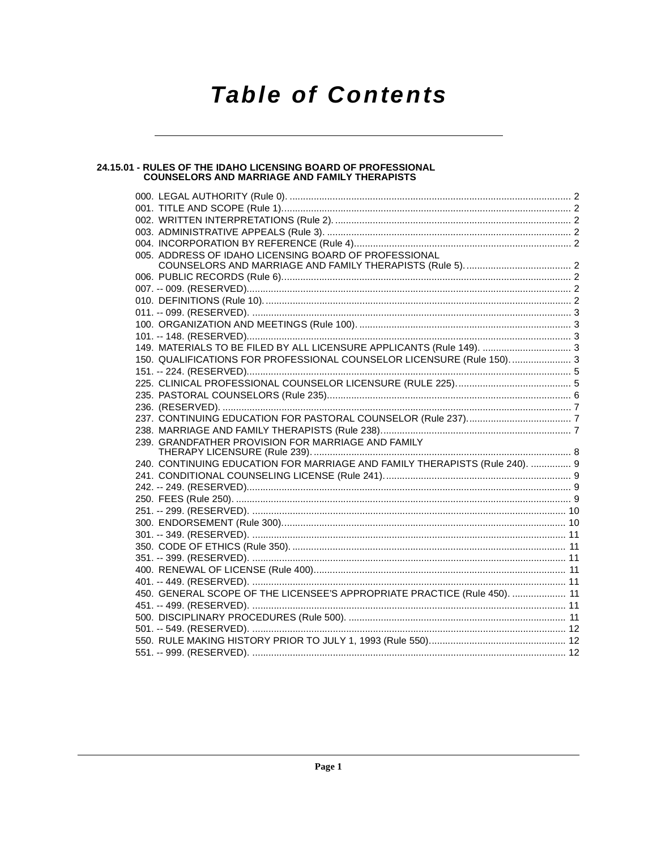# **Table of Contents**

# **24.15.01 - RULES OF THE IDAHO LICENSING BOARD OF PROFESSIONAL<br>COUNSELORS AND MARRIAGE AND FAMILY THERAPISTS**

|  | 005. ADDRESS OF IDAHO LICENSING BOARD OF PROFESSIONAL                       |  |
|--|-----------------------------------------------------------------------------|--|
|  |                                                                             |  |
|  |                                                                             |  |
|  |                                                                             |  |
|  |                                                                             |  |
|  |                                                                             |  |
|  |                                                                             |  |
|  |                                                                             |  |
|  | 149. MATERIALS TO BE FILED BY ALL LICENSURE APPLICANTS (Rule 149).  3       |  |
|  | 150. QUALIFICATIONS FOR PROFESSIONAL COUNSELOR LICENSURE (Rule 150) 3       |  |
|  |                                                                             |  |
|  |                                                                             |  |
|  |                                                                             |  |
|  |                                                                             |  |
|  |                                                                             |  |
|  | 239. GRANDFATHER PROVISION FOR MARRIAGE AND FAMILY                          |  |
|  |                                                                             |  |
|  | 240. CONTINUING EDUCATION FOR MARRIAGE AND FAMILY THERAPISTS (Rule 240).  9 |  |
|  |                                                                             |  |
|  |                                                                             |  |
|  |                                                                             |  |
|  |                                                                             |  |
|  |                                                                             |  |
|  |                                                                             |  |
|  |                                                                             |  |
|  |                                                                             |  |
|  |                                                                             |  |
|  |                                                                             |  |
|  | 450. GENERAL SCOPE OF THE LICENSEE'S APPROPRIATE PRACTICE (Rule 450).  11   |  |
|  |                                                                             |  |
|  |                                                                             |  |
|  |                                                                             |  |
|  |                                                                             |  |
|  |                                                                             |  |
|  |                                                                             |  |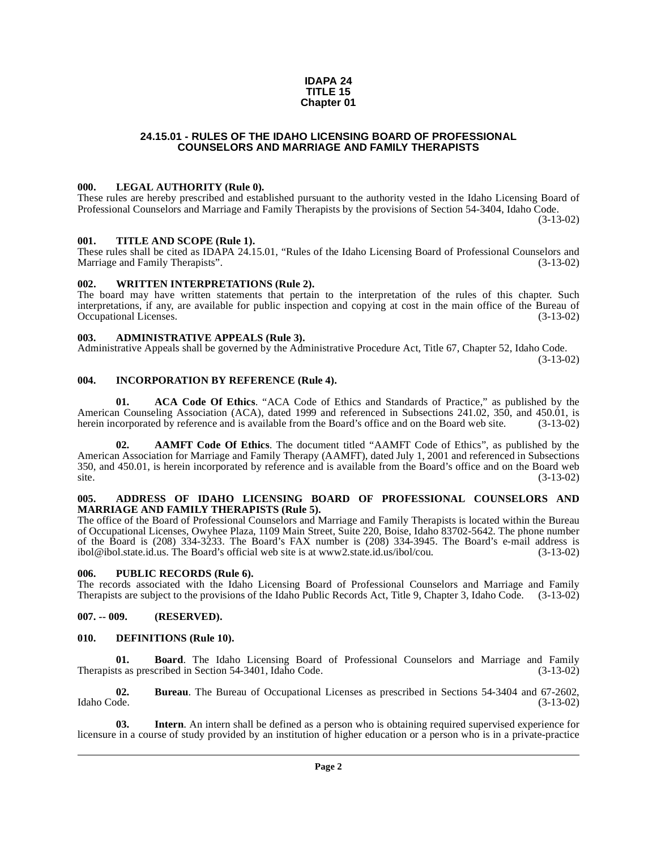#### **IDAPA 24 TITLE 15 Chapter 01**

#### **24.15.01 - RULES OF THE IDAHO LICENSING BOARD OF PROFESSIONAL COUNSELORS AND MARRIAGE AND FAMILY THERAPISTS**

#### <span id="page-1-1"></span><span id="page-1-0"></span>**000. LEGAL AUTHORITY (Rule 0).**

These rules are hereby prescribed and established pursuant to the authority vested in the Idaho Licensing Board of Professional Counselors and Marriage and Family Therapists by the provisions of Section 54-3404, Idaho Code. (3-13-02)

#### <span id="page-1-2"></span>**001. TITLE AND SCOPE (Rule 1).**

These rules shall be cited as IDAPA 24.15.01, "Rules of the Idaho Licensing Board of Professional Counselors and Marriage and Family Therapists". (3-13-02)

#### <span id="page-1-3"></span>**002. WRITTEN INTERPRETATIONS (Rule 2).**

The board may have written statements that pertain to the interpretation of the rules of this chapter. Such interpretations, if any, are available for public inspection and copying at cost in the main office of the Bureau of Occupational Licenses. (3-13-02) Occupational Licenses.

#### <span id="page-1-4"></span>**003. ADMINISTRATIVE APPEALS (Rule 3).**

Administrative Appeals shall be governed by the Administrative Procedure Act, Title 67, Chapter 52, Idaho Code.

(3-13-02)

#### <span id="page-1-5"></span>**004. INCORPORATION BY REFERENCE (Rule 4).**

**01. ACA Code Of Ethics**. "ACA Code of Ethics and Standards of Practice," as published by the American Counseling Association (ACA), dated 1999 and referenced in Subsections 241.02, 350, and 450.01, is herein incorporated by reference and is available from the Board's office and on the Board web site. (3-13-02)

**02. AAMFT Code Of Ethics**. The document titled "AAMFT Code of Ethics", as published by the American Association for Marriage and Family Therapy (AAMFT), dated July 1, 2001 and referenced in Subsections 350, and 450.01, is herein incorporated by reference and is available from the Board's office and on the Board web  $site.$  (3-13-02)

#### <span id="page-1-6"></span>**005. ADDRESS OF IDAHO LICENSING BOARD OF PROFESSIONAL COUNSELORS AND MARRIAGE AND FAMILY THERAPISTS (Rule 5).**

[The office of the Board of Professional Counselors and Marriage and Family Therapists is located within the Bureau](http://www2.state.id.us/ibol/cou) of Occupational Licenses, Owyhee Plaza, 1109 Main Street, Suite 220, Boise, Idaho 83702-5642. The phone number of the Board is (208) 334-3233. The Board's FAX number is (208) 334-3945. The Board's e-mail address is ibol@ibol.state.id.us. The Board's official web site is at www2.state.id.us/ibol/cou. (3-13-02)

#### <span id="page-1-7"></span>**006. PUBLIC RECORDS (Rule 6).**

The records associated with the Idaho Licensing Board of Professional Counselors and Marriage and Family Therapists are subject to the provisions of the Idaho Public Records Act, Title 9, Chapter 3, Idaho Code. (3-13-02)

#### <span id="page-1-8"></span>**007. -- 009. (RESERVED).**

#### <span id="page-1-10"></span><span id="page-1-9"></span>**010. DEFINITIONS (Rule 10).**

**01. Board**. The Idaho Licensing Board of Professional Counselors and Marriage and Family ts as prescribed in Section 54-3401. Idaho Code. (3-13-02) Therapists as prescribed in Section 54-3401, Idaho Code.

**02.** Bureau. The Bureau of Occupational Licenses as prescribed in Sections 54-3404 and 67-2602, Idaho Code. (3-13-02) Idaho Code. (3-13-02)

**03. Intern**. An intern shall be defined as a person who is obtaining required supervised experience for licensure in a course of study provided by an institution of higher education or a person who is in a private-practice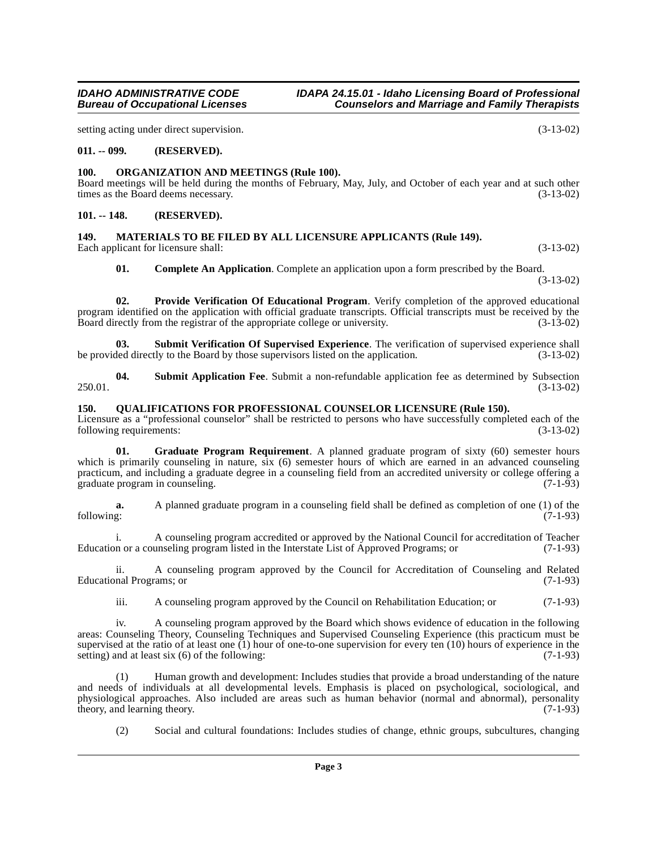## **IDAHO ADMINISTRATIVE CODE IDAPA 24.15.01 - Idaho Licensing Board of Professional**<br>Bureau of Occupational Licenses **Internation** Counselors and Marriage and Family Therapists

setting acting under direct supervision. (3-13-02)

#### <span id="page-2-0"></span>**011. -- 099. (RESERVED).**

#### <span id="page-2-7"></span><span id="page-2-1"></span>**100. ORGANIZATION AND MEETINGS (Rule 100).**

Board meetings will be held during the months of February, May, July, and October of each year and at such other times as the Board deems necessary. (3-13-02) times as the Board deems necessary.

#### <span id="page-2-2"></span>**101. -- 148. (RESERVED).**

#### <span id="page-2-6"></span><span id="page-2-3"></span>**149. MATERIALS TO BE FILED BY ALL LICENSURE APPLICANTS (Rule 149).**

Each applicant for licensure shall: (3-13-02)

<span id="page-2-11"></span>**01. Complete An Application**. Complete an application upon a form prescribed by the Board.

(3-13-02)

**02. Provide Verification Of Educational Program**. Verify completion of the approved educational program identified on the application with official graduate transcripts. Official transcripts must be received by the Board directly from the registrar of the appropriate college or university. (3-13-02) Board directly from the registrar of the appropriate college or university.

<span id="page-2-10"></span>**03. Submit Verification Of Supervised Experience**. The verification of supervised experience shall be provided directly to the Board by those supervisors listed on the application. (3-13-02)

<span id="page-2-9"></span>**04.** Submit Application Fee. Submit a non-refundable application fee as determined by Subsection (3-13-02) 250.01. (3-13-02)

#### <span id="page-2-8"></span><span id="page-2-4"></span>**150. QUALIFICATIONS FOR PROFESSIONAL COUNSELOR LICENSURE (Rule 150).**

Licensure as a "professional counselor" shall be restricted to persons who have successfully completed each of the following requirements: (3-13-02) following requirements:

<span id="page-2-5"></span>**01. Graduate Program Requirement**. A planned graduate program of sixty (60) semester hours which is primarily counseling in nature, six (6) semester hours of which are earned in an advanced counseling practicum, and including a graduate degree in a counseling field from an accredited university or college offering a graduate program in counseling. (7-1-93)

**a.** A planned graduate program in a counseling field shall be defined as completion of one (1) of the following: (7-1-93) following: (7-1-93)

i. A counseling program accredited or approved by the National Council for accreditation of Teacher Education or a counseling program listed in the Interstate List of Approved Programs; or

ii. A counseling program approved by the Council for Accreditation of Counseling and Related Educational Programs; or (7-1-93)

iii. A counseling program approved by the Council on Rehabilitation Education; or (7-1-93)

iv. A counseling program approved by the Board which shows evidence of education in the following areas: Counseling Theory, Counseling Techniques and Supervised Counseling Experience (this practicum must be supervised at the ratio of at least one  $(1)$  hour of one-to-one supervision for every ten  $(10)$  hours of experience in the setting) and at least six (6) of the following: (7-1-93)

Human growth and development: Includes studies that provide a broad understanding of the nature and needs of individuals at all developmental levels. Emphasis is placed on psychological, sociological, and physiological approaches. Also included are areas such as human behavior (normal and abnormal), personality theory, and learning theory. theory, and learning theory.

(2) Social and cultural foundations: Includes studies of change, ethnic groups, subcultures, changing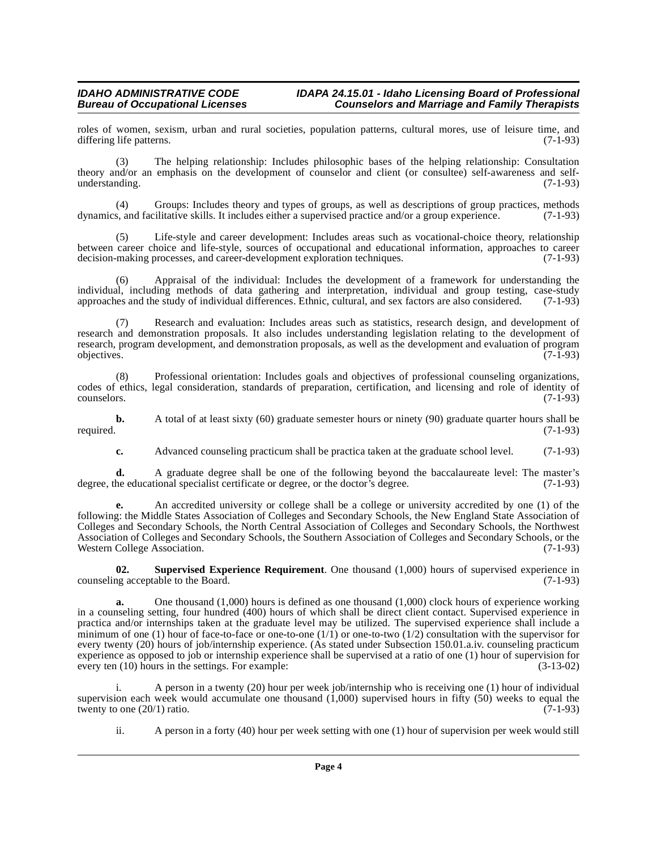#### **IDAHO ADMINISTRATIVE CODE IDAPA 24.15.01 - Idaho Licensing Board of Professional<br>Bureau of Occupational Licenses Counselors and Marriage and Family Therapists Counselors and Marriage and Family Therapists**

roles of women, sexism, urban and rural societies, population patterns, cultural mores, use of leisure time, and differing life patterns. differing life patterns.

(3) The helping relationship: Includes philosophic bases of the helping relationship: Consultation theory and/or an emphasis on the development of counselor and client (or consultee) self-awareness and self-<br>understanding. (7-1-93) understanding.

Groups: Includes theory and types of groups, as well as descriptions of group practices, methods illitative skills. It includes either a supervised practice and/or a group experience. (7-1-93) dynamics, and facilitative skills. It includes either a supervised practice and/or a group experience.

(5) Life-style and career development: Includes areas such as vocational-choice theory, relationship between career choice and life-style, sources of occupational and educational information, approaches to career decision-making processes, and career-development exploration techniques. (7-1-93) decision-making processes, and career-development exploration techniques.

(6) Appraisal of the individual: Includes the development of a framework for understanding the individual, including methods of data gathering and interpretation, individual and group testing, case-study approaches and the study of individual differences. Ethnic, cultural, and sex factors are also considered. (7-1-93)

(7) Research and evaluation: Includes areas such as statistics, research design, and development of research and demonstration proposals. It also includes understanding legislation relating to the development of research, program development, and demonstration proposals, as well as the development and evaluation of program  $\omega$  objectives.  $(7-1-93)$ 

(8) Professional orientation: Includes goals and objectives of professional counseling organizations, codes of ethics, legal consideration, standards of preparation, certification, and licensing and role of identity of counselors. counselors. (7-1-93)

**b.** A total of at least sixty (60) graduate semester hours or ninety (90) graduate quarter hours shall be required. (7-1-93) required. (7-1-93)

**c.** Advanced counseling practicum shall be practica taken at the graduate school level. (7-1-93)

**d.** A graduate degree shall be one of the following beyond the baccalaureate level: The master's he educational specialist certificate or degree, or the doctor's degree. (7-1-93) degree, the educational specialist certificate or degree, or the doctor's degree.

**e.** An accredited university or college shall be a college or university accredited by one (1) of the following: the Middle States Association of Colleges and Secondary Schools, the New England State Association of Colleges and Secondary Schools, the North Central Association of Colleges and Secondary Schools, the Northwest Association of Colleges and Secondary Schools, the Southern Association of Colleges and Secondary Schools, or the Western College Association. (7-1-93) Western College Association.

<span id="page-3-0"></span>**02. Supervised Experience Requirement**. One thousand (1,000) hours of supervised experience in counseling acceptable to the Board. (7-1-93)

**a.** One thousand (1,000) hours is defined as one thousand (1,000) clock hours of experience working in a counseling setting, four hundred (400) hours of which shall be direct client contact. Supervised experience in practica and/or internships taken at the graduate level may be utilized. The supervised experience shall include a minimum of one (1) hour of face-to-face or one-to-one  $(1/1)$  or one-to-two  $(1/2)$  consultation with the supervisor for every twenty (20) hours of job/internship experience. (As stated under Subsection 150.01.a.iv. counseling practicum experience as opposed to job or internship experience shall be supervised at a ratio of one (1) hour of supervision for every ten (10) hours in the settings. For example: (3-13-02)

i. A person in a twenty (20) hour per week job/internship who is receiving one (1) hour of individual supervision each week would accumulate one thousand  $(1,000)$  supervised hours in fifty (50) weeks to equal the twenty to one  $(20/1)$  ratio. twenty to one  $(20/1)$  ratio.

ii. A person in a forty (40) hour per week setting with one (1) hour of supervision per week would still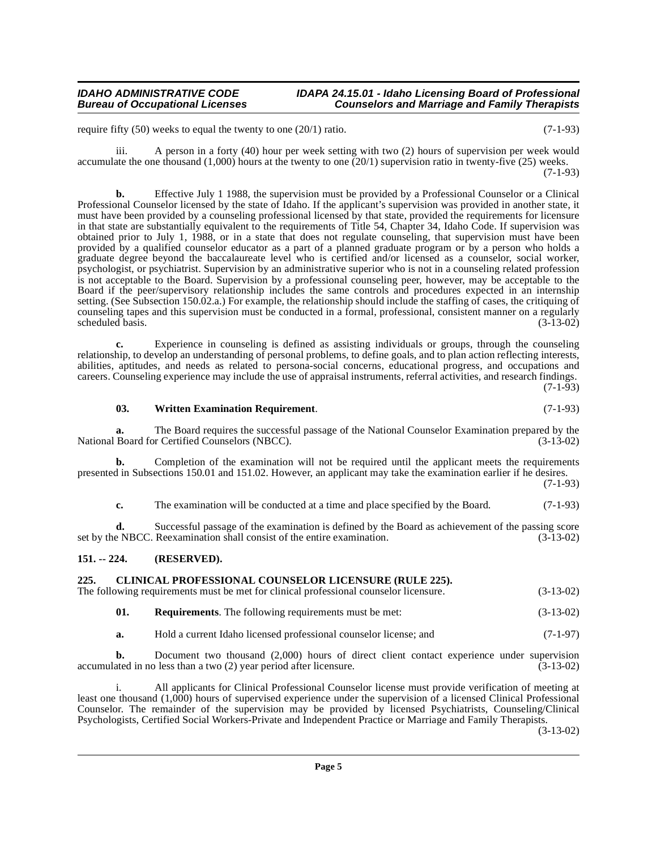#### **IDAHO ADMINISTRATIVE CODE IDAPA 24.15.01 - Idaho Licensing Board of Professional Counselors and Marriage and Family Therapists**

require fifty  $(50)$  weeks to equal the twenty to one  $(20/1)$  ratio.  $(7-1-93)$ 

iii. A person in a forty (40) hour per week setting with two (2) hours of supervision per week would accumulate the one thousand  $(1,000)$  hours at the twenty to one  $(20/1)$  supervision ratio in twenty-five (25) weeks.  $(7-1-93)$ 

**b.** Effective July 1 1988, the supervision must be provided by a Professional Counselor or a Clinical Professional Counselor licensed by the state of Idaho. If the applicant's supervision was provided in another state, it must have been provided by a counseling professional licensed by that state, provided the requirements for licensure in that state are substantially equivalent to the requirements of Title 54, Chapter 34, Idaho Code. If supervision was obtained prior to July 1, 1988, or in a state that does not regulate counseling, that supervision must have been provided by a qualified counselor educator as a part of a planned graduate program or by a person who holds a graduate degree beyond the baccalaureate level who is certified and/or licensed as a counselor, social worker, psychologist, or psychiatrist. Supervision by an administrative superior who is not in a counseling related profession is not acceptable to the Board. Supervision by a professional counseling peer, however, may be acceptable to the Board if the peer/supervisory relationship includes the same controls and procedures expected in an internship setting. (See Subsection 150.02.a.) For example, the relationship should include the staffing of cases, the critiquing of counseling tapes and this supervision must be conducted in a formal, professional, consistent manner on a regularly scheduled basis. (3-13-02)

**c.** Experience in counseling is defined as assisting individuals or groups, through the counseling relationship, to develop an understanding of personal problems, to define goals, and to plan action reflecting interests, abilities, aptitudes, and needs as related to persona-social concerns, educational progress, and occupations and careers. Counseling experience may include the use of appraisal instruments, referral activities, and research findings.  $(7-1-93)$ 

#### <span id="page-4-3"></span>**03. Written Examination Requirement**. (7-1-93)

**a.** The Board requires the successful passage of the National Counselor Examination prepared by the Board for Certified Counselors (NBCC).  $(3-13-02)$ National Board for Certified Counselors (NBCC).

**b.** Completion of the examination will not be required until the applicant meets the requirements presented in Subsections 150.01 and 151.02. However, an applicant may take the examination earlier if he desires.

(7-1-93)

**c.** The examination will be conducted at a time and place specified by the Board. (7-1-93)

**d.** Successful passage of the examination is defined by the Board as achievement of the passing score as NBCC. Reexamination shall consist of the entire examination. (3-13-02) set by the NBCC. Reexamination shall consist of the entire examination.

#### <span id="page-4-0"></span>**151. -- 224. (RESERVED).**

#### <span id="page-4-2"></span><span id="page-4-1"></span>**225. CLINICAL PROFESSIONAL COUNSELOR LICENSURE (RULE 225).**

The following requirements must be met for clinical professional counselor licensure. (3-13-02)

- **01. Requirements**. The following requirements must be met: (3-13-02)
- **a.** Hold a current Idaho licensed professional counselor license; and  $(7-1-97)$

**b.** Document two thousand (2,000) hours of direct client contact experience under supervision accumulated in no less than a two (2) year period after licensure. (3-13-02)

i. All applicants for Clinical Professional Counselor license must provide verification of meeting at least one thousand (1,000) hours of supervised experience under the supervision of a licensed Clinical Professional Counselor. The remainder of the supervision may be provided by licensed Psychiatrists, Counseling/Clinical Psychologists, Certified Social Workers-Private and Independent Practice or Marriage and Family Therapists.

(3-13-02)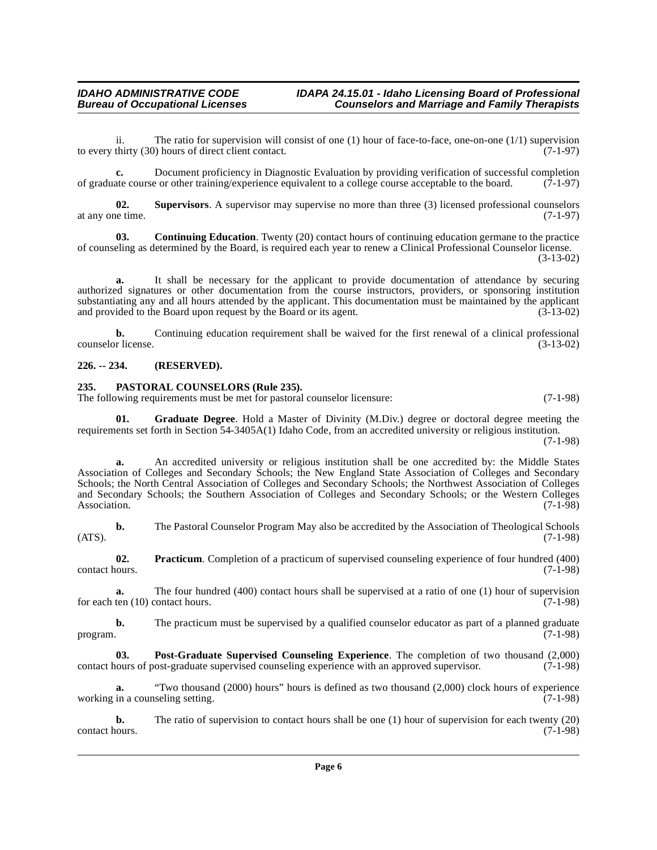#### **IDAHO ADMINISTRATIVE CODE IDAPA 24.15.01 - Idaho Licensing Board of Professional<br>Bureau of Occupational Licenses Counselors and Marriage and Family Therapists Counselors and Marriage and Family Therapists**

ii. The ratio for supervision will consist of one (1) hour of face-to-face, one-on-one (1/1) supervision thirty (30) hours of direct client contact. (7-1-97) to every thirty  $(30)$  hours of direct client contact.

**c.** Document proficiency in Diagnostic Evaluation by providing verification of successful completion ate course or other training/experience equivalent to a college course acceptable to the board. (7-1-97) of graduate course or other training/experience equivalent to a college course acceptable to the board.

<span id="page-5-5"></span>**02.** Supervisors. A supervisor may supervise no more than three (3) licensed professional counselors (7-1-97) at any one time.

<span id="page-5-1"></span>**03. Continuing Education**. Twenty (20) contact hours of continuing education germane to the practice of counseling as determined by the Board, is required each year to renew a Clinical Professional Counselor license. (3-13-02)

**a.** It shall be necessary for the applicant to provide documentation of attendance by securing authorized signatures or other documentation from the course instructors, providers, or sponsoring institution substantiating any and all hours attended by the applicant. This documentation must be maintained by the applicant and provided to the Board upon request by the Board or its agent. (3-13-02) and provided to the Board upon request by the Board or its agent.

**b.** Continuing education requirement shall be waived for the first renewal of a clinical professional r license.  $(3-13-02)$ counselor license.

#### **226. -- 234. (RESERVED).**

#### <span id="page-5-0"></span>**235. PASTORAL COUNSELORS (Rule 235).**

<span id="page-5-2"></span>The following requirements must be met for pastoral counselor licensure: (7-1-98)

**01. Graduate Degree**. Hold a Master of Divinity (M.Div.) degree or doctoral degree meeting the requirements set forth in Section 54-3405A(1) Idaho Code, from an accredited university or religious institution. (7-1-98)

**a.** An accredited university or religious institution shall be one accredited by: the Middle States Association of Colleges and Secondary Schools; the New England State Association of Colleges and Secondary Schools; the North Central Association of Colleges and Secondary Schools; the Northwest Association of Colleges and Secondary Schools; the Southern Association of Colleges and Secondary Schools; or the Western Colleges Association. (7-1-98)

**b.** The Pastoral Counselor Program May also be accredited by the Association of Theological Schools  $(ATS)$ .  $(7-1-98)$ 

<span id="page-5-4"></span>**02.** Practicum. Completion of a practicum of supervised counseling experience of four hundred (400) nours. (7-1-98) contact hours.

**a.** The four hundred (400) contact hours shall be supervised at a ratio of one (1) hour of supervision ten (10) contact hours. (7-1-98) for each ten  $(10)$  contact hours.

**b.** The practicum must be supervised by a qualified counselor educator as part of a planned graduate program. (7-1-98)

<span id="page-5-3"></span>**03. Post-Graduate Supervised Counseling Experience**. The completion of two thousand (2,000) contact hours of post-graduate supervised counseling experience with an approved supervisor. (7-1-98)

**a.** "Two thousand (2000) hours" hours is defined as two thousand (2,000) clock hours of experience in a counseling setting. working in a counseling setting.

**b.** The ratio of supervision to contact hours shall be one (1) hour of supervision for each twenty (20) contact hours. (7-1-98)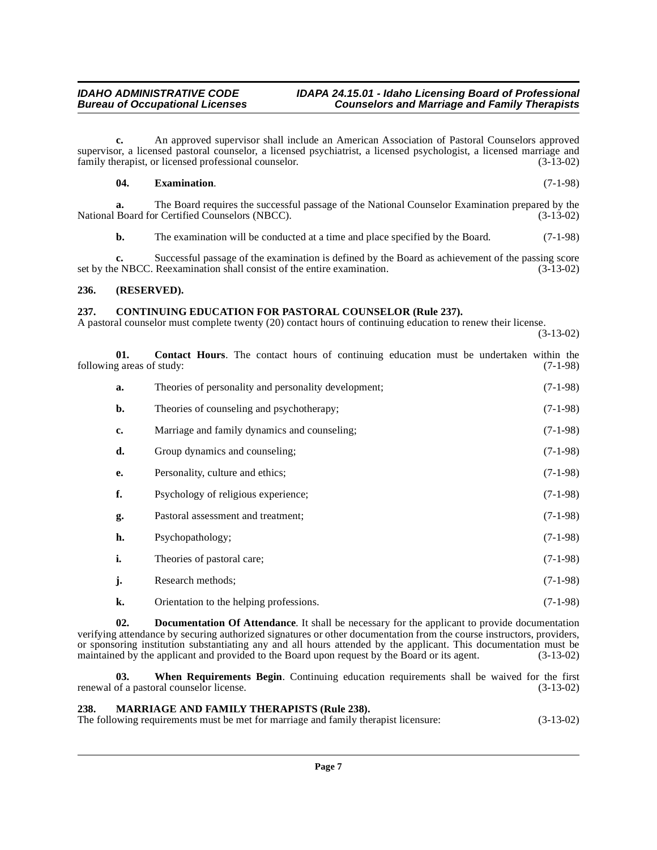#### **IDAHO ADMINISTRATIVE CODE IDAPA 24.15.01 - Idaho Licensing Board of Professional**<br>Bureau of Occupational Licenses **Internation** Counselors and Marriage and Family Therapists **Counselors and Marriage and Family Therapists**

**c.** An approved supervisor shall include an American Association of Pastoral Counselors approved supervisor, a licensed pastoral counselor, a licensed psychiatrist, a licensed psychologist, a licensed marriage and family therapist, or licensed professional counselor. (3-13-02)

#### <span id="page-6-5"></span>**04. Examination**. (7-1-98)

**a.** The Board requires the successful passage of the National Counselor Examination prepared by the Board for Certified Counselors (NBCC).  $(3-13-02)$ National Board for Certified Counselors (NBCC).

**b.** The examination will be conducted at a time and place specified by the Board. (7-1-98)

**c.** Successful passage of the examination is defined by the Board as achievement of the passing score e NBCC. Reexamination shall consist of the entire examination. (3-13-02) set by the NBCC. Reexamination shall consist of the entire examination.

#### <span id="page-6-0"></span>**236. (RESERVED).**

#### <span id="page-6-4"></span><span id="page-6-1"></span>**237. CONTINUING EDUCATION FOR PASTORAL COUNSELOR (Rule 237).**

A pastoral counselor must complete twenty (20) contact hours of continuing education to renew their license.

(3-13-02)

**01. Contact Hours**. The contact hours of continuing education must be undertaken within the following areas of study: (7-1-98)

<span id="page-6-3"></span>

| a. | Theories of personality and personality development; | $(7-1-98)$ |
|----|------------------------------------------------------|------------|
| b. | Theories of counseling and psychotherapy;            | $(7-1-98)$ |
| c. | Marriage and family dynamics and counseling;         | $(7-1-98)$ |
| d. | Group dynamics and counseling;                       | $(7-1-98)$ |
| e. | Personality, culture and ethics;                     | $(7-1-98)$ |
| f. | Psychology of religious experience;                  | $(7-1-98)$ |
| g. | Pastoral assessment and treatment;                   | $(7-1-98)$ |
| h. | Psychopathology;                                     | $(7-1-98)$ |
| i. | Theories of pastoral care;                           | $(7-1-98)$ |
| j. | Research methods;                                    | $(7-1-98)$ |
| k. | Orientation to the helping professions.              | $(7-1-98)$ |

**02. Documentation Of Attendance**. It shall be necessary for the applicant to provide documentation verifying attendance by securing authorized signatures or other documentation from the course instructors, providers, or sponsoring institution substantiating any and all hours attended by the applicant. This documentation must be maintained by the applicant and provided to the Board upon request by the Board or its agent. (3-13-02)

**03. When Requirements Begin**. Continuing education requirements shall be waived for the first renewal of a pastoral counselor license. (3-13-02)

#### <span id="page-6-6"></span><span id="page-6-2"></span>**238. MARRIAGE AND FAMILY THERAPISTS (Rule 238).**

The following requirements must be met for marriage and family therapist licensure: (3-13-02)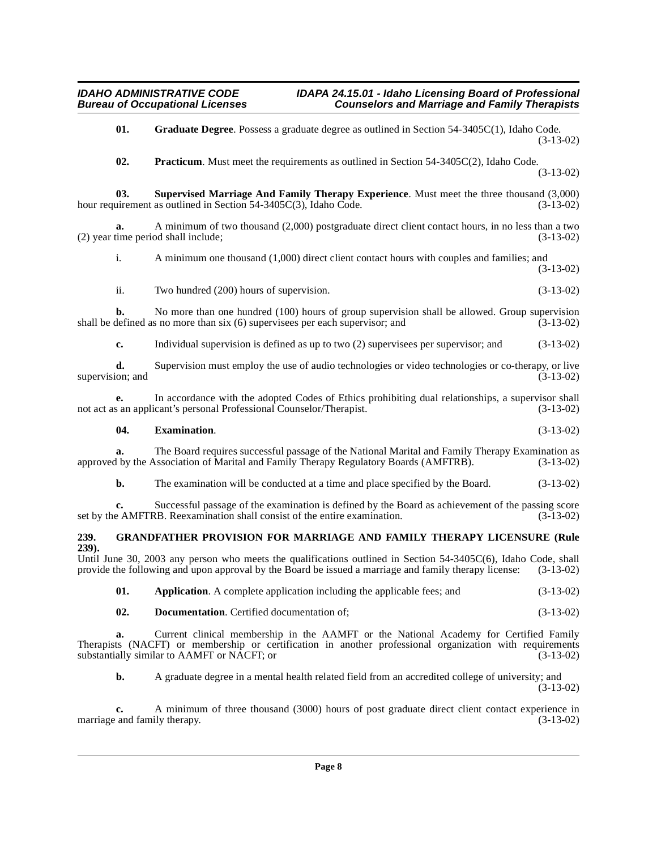<span id="page-7-5"></span><span id="page-7-4"></span><span id="page-7-2"></span>

|               | 01.                    | Graduate Degree. Possess a graduate degree as outlined in Section 54-3405C(1), Idaho Code.                                                                                                                                 | $(3-13-02)$ |
|---------------|------------------------|----------------------------------------------------------------------------------------------------------------------------------------------------------------------------------------------------------------------------|-------------|
|               | 02.                    | <b>Practicum</b> . Must meet the requirements as outlined in Section $54-3405C(2)$ , Idaho Code.                                                                                                                           | $(3-13-02)$ |
|               | 03.                    | Supervised Marriage And Family Therapy Experience. Must meet the three thousand $(3,000)$<br>hour requirement as outlined in Section 54-3405C(3), Idaho Code.                                                              | $(3-13-02)$ |
|               | a.                     | A minimum of two thousand (2,000) postgraduate direct client contact hours, in no less than a two<br>(2) year time period shall include;                                                                                   | $(3-13-02)$ |
|               | i.                     | A minimum one thousand (1,000) direct client contact hours with couples and families; and                                                                                                                                  | $(3-13-02)$ |
|               | ii.                    | Two hundred (200) hours of supervision.                                                                                                                                                                                    | $(3-13-02)$ |
|               | b.                     | No more than one hundred (100) hours of group supervision shall be allowed. Group supervision<br>shall be defined as no more than six (6) supervisees per each supervisor; and                                             | $(3-13-02)$ |
|               | c.                     | Individual supervision is defined as up to two $(2)$ supervisees per supervisor; and                                                                                                                                       | $(3-13-02)$ |
|               | d.<br>supervision; and | Supervision must employ the use of audio technologies or video technologies or co-therapy, or live                                                                                                                         | $(3-13-02)$ |
|               | e.                     | In accordance with the adopted Codes of Ethics prohibiting dual relationships, a supervisor shall<br>not act as an applicant's personal Professional Counselor/Therapist.                                                  | $(3-13-02)$ |
|               | 04.                    | <b>Examination.</b>                                                                                                                                                                                                        | $(3-13-02)$ |
|               | а.                     | The Board requires successful passage of the National Marital and Family Therapy Examination as<br>approved by the Association of Marital and Family Therapy Regulatory Boards (AMFTRB).                                   | $(3-13-02)$ |
|               | b.                     | The examination will be conducted at a time and place specified by the Board.                                                                                                                                              | $(3-13-02)$ |
|               | c.                     | Successful passage of the examination is defined by the Board as achievement of the passing score<br>set by the AMFTRB. Reexamination shall consist of the entire examination.                                             | $(3-13-02)$ |
| 239.<br>239). |                        | <b>GRANDFATHER PROVISION FOR MARRIAGE AND FAMILY THERAPY LICENSURE (Rule</b>                                                                                                                                               |             |
|               |                        | Until June 30, 2003 any person who meets the qualifications outlined in Section $54-3405C(6)$ , Idaho Code, shall<br>provide the following and upon approval by the Board be issued a marriage and family therapy license: | $(3-13-02)$ |
|               | 01.                    | <b>Application.</b> A complete application including the applicable fees; and                                                                                                                                              | $(3-13-02)$ |
|               | 02.                    | Documentation. Certified documentation of;                                                                                                                                                                                 | $(3-13-02)$ |
|               | a.                     | Current clinical membership in the AAMFT or the National Academy for Certified Family                                                                                                                                      |             |

<span id="page-7-3"></span><span id="page-7-1"></span><span id="page-7-0"></span>Therapists (NACFT) or membership or certification in another professional organization with requirements substantially similar to AAMFT or NACFT; or (3-13-02)

**b.** A graduate degree in a mental health related field from an accredited college of university; and (3-13-02)

**c.** A minimum of three thousand (3000) hours of post graduate direct client contact experience in and family therapy. (3-13-02) marriage and family therapy.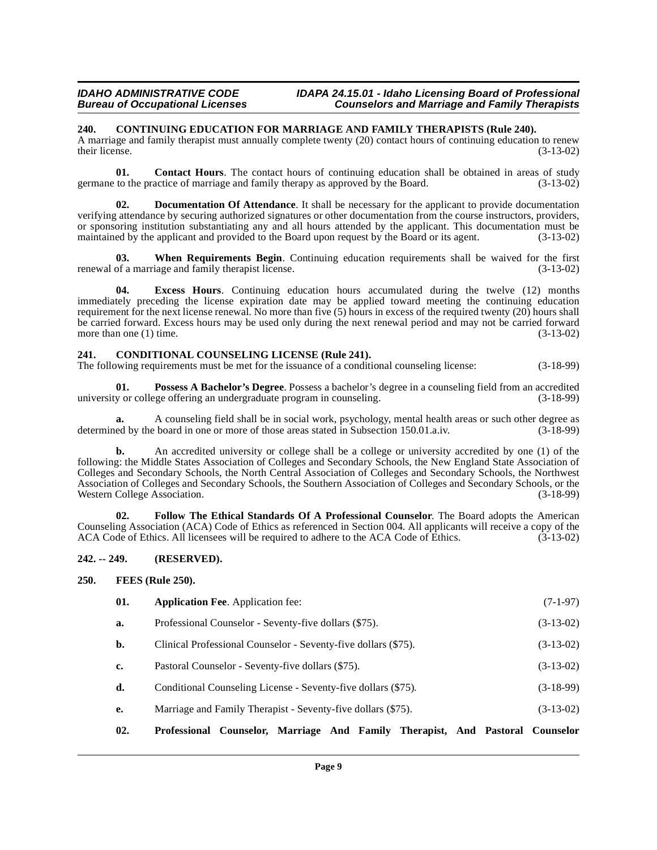#### **IDAHO ADMINISTRATIVE CODE IDAPA 24.15.01 - Idaho Licensing Board of Professional Counselors and Marriage and Family Therapists**

#### <span id="page-8-7"></span><span id="page-8-0"></span>**240. CONTINUING EDUCATION FOR MARRIAGE AND FAMILY THERAPISTS (Rule 240).**

A marriage and family therapist must annually complete twenty (20) contact hours of continuing education to renew<br>(3-13-02) their license. their license.  $(3-13-02)$ 

<span id="page-8-6"></span>**01.** Contact Hours. The contact hours of continuing education shall be obtained in areas of study to the practice of marriage and family therapy as approved by the Board. (3-13-02) germane to the practice of marriage and family therapy as approved by the Board.

**Documentation Of Attendance**. It shall be necessary for the applicant to provide documentation verifying attendance by securing authorized signatures or other documentation from the course instructors, providers, or sponsoring institution substantiating any and all hours attended by the applicant. This documentation must be maintained by the applicant and provided to the Board upon request by the Board or its agent. (3-13-02) maintained by the applicant and provided to the Board upon request by the Board or its agent.

**03. When Requirements Begin**. Continuing education requirements shall be waived for the first renewal of a marriage and family therapist license. (3-13-02)

<span id="page-8-8"></span>**04. Excess Hours**. Continuing education hours accumulated during the twelve (12) months immediately preceding the license expiration date may be applied toward meeting the continuing education requirement for the next license renewal. No more than five (5) hours in excess of the required twenty (20) hours shall be carried forward. Excess hours may be used only during the next renewal period and may not be carried forward<br>(3-13-02)<br>(3-13-02) more than one  $(1)$  time.

#### <span id="page-8-5"></span><span id="page-8-1"></span>**241. CONDITIONAL COUNSELING LICENSE (Rule 241).**

The following requirements must be met for the issuance of a conditional counseling license: (3-18-99)

<span id="page-8-11"></span>**01. Possess A Bachelor's Degree**. Possess a bachelor's degree in a counseling field from an accredited university or college offering an undergraduate program in counseling.

**a.** A counseling field shall be in social work, psychology, mental health areas or such other degree as determined by the board in one or more of those areas stated in Subsection 150.01.a.iv.

**b.** An accredited university or college shall be a college or university accredited by one (1) of the following: the Middle States Association of Colleges and Secondary Schools, the New England State Association of Colleges and Secondary Schools, the North Central Association of Colleges and Secondary Schools, the Northwest Association of Colleges and Secondary Schools, the Southern Association of Colleges and Secondary Schools, or the Western College Association. (3-18-99)

<span id="page-8-10"></span>**02. Follow The Ethical Standards Of A Professional Counselor**. The Board adopts the American Counseling Association (ACA) Code of Ethics as referenced in Section 004. All applicants will receive a copy of the ACA Code of Ethics. All licensees will be required to adhere to the ACA Code of Ethics. (3-13-02)

#### <span id="page-8-2"></span>**242. -- 249. (RESERVED).**

#### <span id="page-8-3"></span>**250. FEES (Rule 250).**

<span id="page-8-9"></span><span id="page-8-4"></span>

| 01.            | <b>Application Fee.</b> Application fee:                       | $(7-1-97)$  |
|----------------|----------------------------------------------------------------|-------------|
| a.             | Professional Counselor - Seventy-five dollars (\$75).          | $(3-13-02)$ |
| $\mathbf{b}$ . | Clinical Professional Counselor - Seventy-five dollars (\$75). | $(3-13-02)$ |
| c.             | Pastoral Counselor - Seventy-five dollars (\$75).              | $(3-13-02)$ |
| d.             | Conditional Counseling License - Seventy-five dollars (\$75).  | $(3-18-99)$ |
| e.             | Marriage and Family Therapist - Seventy-five dollars (\$75).   | $(3-13-02)$ |
|                |                                                                |             |

<span id="page-8-12"></span>**02. Professional Counselor, Marriage And Family Therapist, And Pastoral Counselor**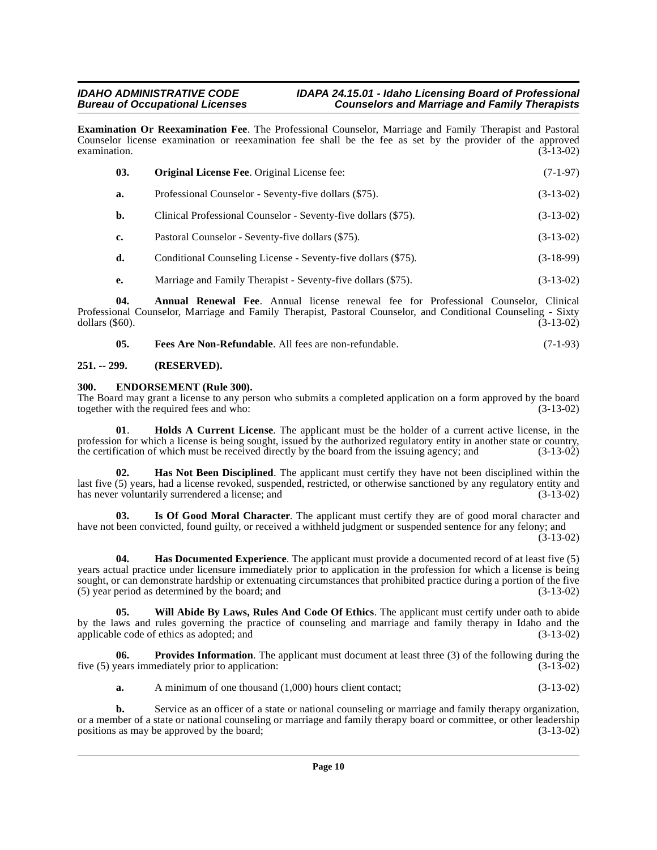#### **IDAHO ADMINISTRATIVE CODE IDAPA 24.15.01 - Idaho Licensing Board of Professional**<br>Bureau of Occupational Licenses **International Counselors and Marriage and Family Therapists Counselors and Marriage and Family Therapists**

**Examination Or Reexamination Fee**. The Professional Counselor, Marriage and Family Therapist and Pastoral Counselor license examination or reexamination fee shall be the fee as set by the provider of the approved examination.<br>(3-13-02) examination. (3-13-02)

<span id="page-9-9"></span>

| 03. | <b>Original License Fee.</b> Original License fee:             | $(7-1-97)$  |
|-----|----------------------------------------------------------------|-------------|
| a.  | Professional Counselor - Seventy-five dollars (\$75).          | $(3-13-02)$ |
| b.  | Clinical Professional Counselor - Seventy-five dollars (\$75). | $(3-13-02)$ |
| c.  | Pastoral Counselor - Seventy-five dollars (\$75).              | $(3-13-02)$ |
| d.  | Conditional Counseling License - Seventy-five dollars (\$75).  | $(3-18-99)$ |
| e.  | Marriage and Family Therapist - Seventy-five dollars (\$75).   | $(3-13-02)$ |

**04. Annual Renewal Fee**. Annual license renewal fee for Professional Counselor, Clinical Professional Counselor, Marriage and Family Therapist, Pastoral Counselor, and Conditional Counseling - Sixty dollars (\$60). (3-13-02) dollars  $(\$60)$ .

<span id="page-9-5"></span><span id="page-9-4"></span><span id="page-9-3"></span>**05. Fees Are Non-Refundable**. All fees are non-refundable. (7-1-93)

#### <span id="page-9-0"></span>**251. -- 299. (RESERVED).**

#### <span id="page-9-1"></span>**300. ENDORSEMENT (Rule 300).**

The Board may grant a license to any person who submits a completed application on a form approved by the board together with the required fees and who:  $(3-13-02)$ together with the required fees and who:

<span id="page-9-8"></span>**01**. **Holds A Current License**. The applicant must be the holder of a current active license, in the profession for which a license is being sought, issued by the authorized regulatory entity in another state or country, the certification of which must be received directly by the board from the issuing agency; and (3-13-0 the certification of which must be received directly by the board from the issuing agency; and

<span id="page-9-7"></span>**Has Not Been Disciplined**. The applicant must certify they have not been disciplined within the last five (5) years, had a license revoked, suspended, restricted, or otherwise sanctioned by any regulatory entity and<br>(3-13-02) (3-13-02) has never voluntarily surrendered a license; and

<span id="page-9-6"></span>**03. Is Of Good Moral Character**. The applicant must certify they are of good moral character and have not been convicted, found guilty, or received a withheld judgment or suspended sentence for any felony; and

(3-13-02)

**04. Has Documented Experience**. The applicant must provide a documented record of at least five (5) years actual practice under licensure immediately prior to application in the profession for which a license is being sought, or can demonstrate hardship or extenuating circumstances that prohibited practice during a portion of the five (5) year period as determined by the board; and (3-13-02)

<span id="page-9-2"></span>**05. Will Abide By Laws, Rules And Code Of Ethics**. The applicant must certify under oath to abide by the laws and rules governing the practice of counseling and marriage and family therapy in Idaho and the applicable code of ethics as adopted; and (3-13-02)

**06. Provides Information**. The applicant must document at least three (3) of the following during the five (5) years immediately prior to application: (3-13-02)

<span id="page-9-10"></span>**a.** A minimum of one thousand (1,000) hours client contact; (3-13-02)

**b.** Service as an officer of a state or national counseling or marriage and family therapy organization, or a member of a state or national counseling or marriage and family therapy board or committee, or other leadership positions as may be approved by the board;  $(3-13-02)$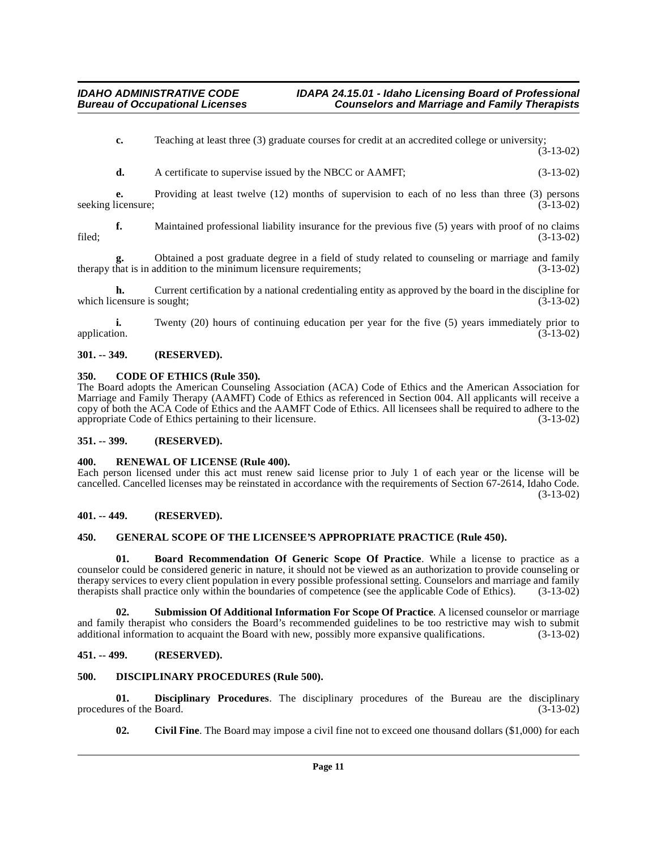#### **IDAHO ADMINISTRATIVE CODE IDAPA 24.15.01 - Idaho Licensing Board of Professional**<br>Bureau of Occupational Licenses **Internation** Counselors and Marriage and Family Therapists **Counselors and Marriage and Family Therapists**

**c.** Teaching at least three (3) graduate courses for credit at an accredited college or university;  $(3-13-02)$ 

**d.** A certificate to supervise issued by the NBCC or AAMFT: (3-13-02)

**e.** Providing at least twelve (12) months of supervision to each of no less than three (3) persons licensure: (3-13-02) seeking licensure;

**f.** Maintained professional liability insurance for the previous five (5) years with proof of no claims (3-13-02) filed; (3-13-02)

**g.** Obtained a post graduate degree in a field of study related to counseling or marriage and family therapy that is in addition to the minimum licensure requirements; (3-13-02)

**h.** Current certification by a national credentialing entity as approved by the board in the discipline for censure is sought: (3-13-02) which licensure is sought:

**i.** Twenty (20) hours of continuing education per year for the five (5) years immediately prior to application. (3-13-02) application. (3-13-02)

#### <span id="page-10-0"></span>**301. -- 349. (RESERVED).**

#### <span id="page-10-10"></span><span id="page-10-1"></span>**350. CODE OF ETHICS (Rule 350).**

The Board adopts the American Counseling Association (ACA) Code of Ethics and the American Association for Marriage and Family Therapy (AAMFT) Code of Ethics as referenced in Section 004. All applicants will receive a copy of both the ACA Code of Ethics and the AAMFT Code of Ethics. All licensees shall be required to adhere to the appropriate Code of Ethics pertaining to their licensure. (3-13-02)

#### <span id="page-10-2"></span>**351. -- 399. (RESERVED).**

#### <span id="page-10-13"></span><span id="page-10-3"></span>**400. RENEWAL OF LICENSE (Rule 400).**

Each person licensed under this act must renew said license prior to July 1 of each year or the license will be cancelled. Cancelled licenses may be reinstated in accordance with the requirements of Section 67-2614, Idaho Code. (3-13-02)

#### <span id="page-10-4"></span>**401. -- 449. (RESERVED).**

#### <span id="page-10-12"></span><span id="page-10-5"></span>**450. GENERAL SCOPE OF THE LICENSEE'S APPROPRIATE PRACTICE (Rule 450).**

<span id="page-10-8"></span>**01. Board Recommendation Of Generic Scope Of Practice**. While a license to practice as a counselor could be considered generic in nature, it should not be viewed as an authorization to provide counseling or therapy services to every client population in every possible professional setting. Counselors and marriage and family therapists shall practice only within the boundaries of competence (see the applicable Code of Ethics). (3-13-02)

<span id="page-10-14"></span>**02. Submission Of Additional Information For Scope Of Practice**. A licensed counselor or marriage and family therapist who considers the Board's recommended guidelines to be too restrictive may wish to submit additional information to acquaint the Board with new, possibly more expansive qualifications. (3-13-02)

#### <span id="page-10-6"></span>**451. -- 499. (RESERVED).**

#### <span id="page-10-11"></span><span id="page-10-7"></span>**500. DISCIPLINARY PROCEDURES (Rule 500).**

**01. Disciplinary Procedures**. The disciplinary procedures of the Bureau are the disciplinary es of the Board. (3-13-02) procedures of the Board.

<span id="page-10-9"></span>**02. Civil Fine**. The Board may impose a civil fine not to exceed one thousand dollars (\$1,000) for each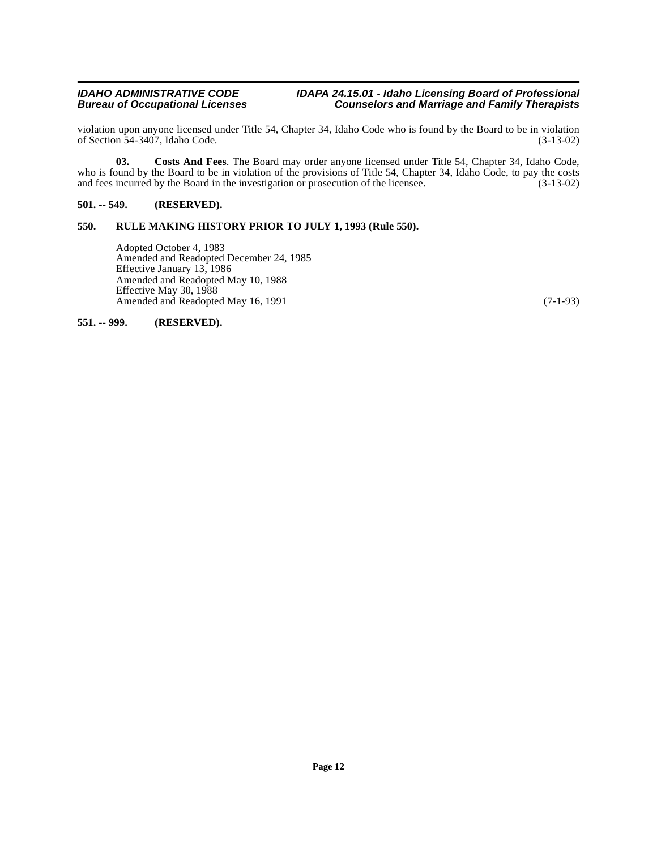violation upon anyone licensed under Title 54, Chapter 34, Idaho Code who is found by the Board to be in violation of Section 54-3407. Idaho Code. (3-13-02) of Section  $\overline{54-3407}$ , Idaho Code.

<span id="page-11-3"></span>**03. Costs And Fees**. The Board may order anyone licensed under Title 54, Chapter 34, Idaho Code, who is found by the Board to be in violation of the provisions of Title 54, Chapter 34, Idaho Code, to pay the costs and fees incurred by the Board in the investigation or prosecution of the licensee. (3-13-02) and fees incurred by the Board in the investigation or prosecution of the licensee.

#### <span id="page-11-0"></span>**501. -- 549. (RESERVED).**

#### <span id="page-11-1"></span>**550. RULE MAKING HISTORY PRIOR TO JULY 1, 1993 (Rule 550).**

Adopted October 4, 1983 Amended and Readopted December 24, 1985 Effective January 13, 1986 Amended and Readopted May 10, 1988 Effective May 30, 1988 Amended and Readopted May 16, 1991 (7-1-93)

<span id="page-11-2"></span>**551. -- 999. (RESERVED).**